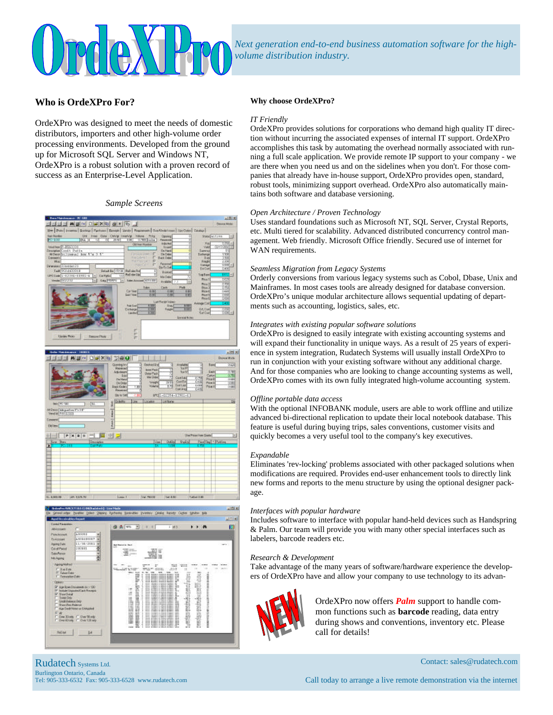

*Next generation end-to-end business automation software for the highvolume distribution industry.*

## **Who is OrdeXPro For?**

OrdeXPro was designed to meet the needs of domestic distributors, importers and other high-volume order processing environments. Developed from the ground up for Microsoft SQL Server and Windows NT, OrdeXPro is a robust solution with a proven record of success as an Enterprise-Level Application.

#### *Sample Screens*

|                                                                                        |                           | the Boo   Inverse   Solitor   Parkers   Brook   Sinds   Represent   Due Ordel Inner   No Color   Casto                                                     |                                                                                                                            |                                                                   |                                                        |
|----------------------------------------------------------------------------------------|---------------------------|------------------------------------------------------------------------------------------------------------------------------------------------------------|----------------------------------------------------------------------------------------------------------------------------|-------------------------------------------------------------------|--------------------------------------------------------|
| <b>New Humber</b>                                                                      |                           |                                                                                                                                                            |                                                                                                                            |                                                                   | $\equiv$                                               |
| <b>Readers</b>                                                                         | 24.1                      | UW Insa One Only Insaly Value Priz<br>Kk   12 0 215 10 111 070 pain                                                                                        | Opening<br><b>Financinal</b>                                                                                               | State action<br>읨                                                 |                                                        |
|                                                                                        |                           | <b>CAT has Nivelak</b>                                                                                                                                     | lickchet                                                                                                                   | Rg                                                                |                                                        |
| Unid has 2-2003221                                                                     |                           |                                                                                                                                                            | Lisand                                                                                                                     | Vaid                                                              | <b>Writish</b>                                         |
|                                                                                        |                           |                                                                                                                                                            | On Hand                                                                                                                    | Europe                                                            |                                                        |
| MiDens by Line at Long #"w.3.5<br><b>Doministry</b>                                    |                           | Firth Line P.<br>Fisi Steam                                                                                                                                | <b>Un Under</b><br>п<br>Exit Cubic                                                                                         | 정<br>Eiching<br><b>E</b> MV                                       | 150<br>38                                              |
| <b>Hug</b>                                                                             |                           |                                                                                                                                                            | 'n                                                                                                                         | Finds                                                             | 228                                                    |
| Dimensional 22 and 0x123                                                               |                           |                                                                                                                                                            | <b>Fairemet</b><br>r                                                                                                       | <b>Calge</b>                                                      | $-300 +$                                               |
| Tarif (953 200003)                                                                     | <b>Extrad Bar NFT III</b> | Field wire Final                                                                                                                                           | Do Tiršel<br>ī                                                                                                             | Euche                                                             | 0.490                                                  |
| UPC Came 1-02391-12931-6 4                                                             |                           | <b>Field also Dipt</b>                                                                                                                                     | <b>Biologi</b><br>x                                                                                                        | T<br><b>Sep Bare</b>                                              | <b>TCTT+1</b>                                          |
| Venille (SCU 232)                                                                      | <b>California</b>         | T.D<br>Tш                                                                                                                                                  | Mix Dide:                                                                                                                  | Plos <sub>7</sub>                                                 | os:                                                    |
|                                                                                        | Dig First<br>$-1$         | <b>Greekens [17110]</b>                                                                                                                                    | <b>Available 3.7</b>                                                                                                       | w<br>Pice 2                                                       | ठाला                                                   |
|                                                                                        |                           | 1411.000                                                                                                                                                   | Pull<br>Cash                                                                                                               | Phon 2                                                            | öβ                                                     |
|                                                                                        |                           | Cui Year                                                                                                                                                   | <b>QIR</b>                                                                                                                 | 100<br><b>Plan 1</b>                                              | r.                                                     |
|                                                                                        |                           | Last Year<br>τœ                                                                                                                                            | 0.14                                                                                                                       | 130<br>Page 8                                                     | DW.                                                    |
|                                                                                        |                           |                                                                                                                                                            | Lanffects Value                                                                                                            | Phou <sup>2</sup>                                                 | o.                                                     |
|                                                                                        |                           | tion)<br><b>Futu Circl</b>                                                                                                                                 | <b>Third</b>                                                                                                               | <b>Pulmige Cod</b><br>1,000                                       | 539                                                    |
|                                                                                        |                           | <b>Tout</b><br>Escheson                                                                                                                                    | Fraight:                                                                                                                   | <b>I</b> Lot<br>GA_Car                                            | <b>COL</b>                                             |
|                                                                                        |                           | 100<br>Lindoo                                                                                                                                              |                                                                                                                            | That Cook                                                         | $5001 -$                                               |
|                                                                                        |                           |                                                                                                                                                            | <b>Some Scool</b>                                                                                                          |                                                                   |                                                        |
|                                                                                        |                           |                                                                                                                                                            |                                                                                                                            |                                                                   |                                                        |
|                                                                                        |                           |                                                                                                                                                            |                                                                                                                            |                                                                   |                                                        |
|                                                                                        |                           | r                                                                                                                                                          |                                                                                                                            |                                                                   |                                                        |
| Update Phone                                                                           | Гавры Ріолі               | ×                                                                                                                                                          |                                                                                                                            |                                                                   |                                                        |
|                                                                                        |                           | r                                                                                                                                                          |                                                                                                                            |                                                                   |                                                        |
|                                                                                        |                           | Closeding low<br>73<br><b>Faseried</b><br><b>Jewe Plack</b><br><b>Industriant</b><br>Outer <sup>P</sup> ack<br>Sad<br><b>Hie Olda</b><br><b>Die Hateil</b> | <b>Ceolod &amp; vi</b><br>ū<br><b>Aralistic</b><br>Toi P<br>Tot Nº<br>w<br>Custod                                          | <b>Bored</b><br>o<br>ħ<br>Early<br>Calor<br><b>CTNE</b><br>Pisa D |                                                        |
| <b>Inch TVC-100</b>                                                                    | þ<br>TEE<br>ł             | On Didge<br><b>Pack Order</b><br>w<br>Pasaroni<br>Dy is Sell<br>Golds<br>Line<br>LOCANOE                                                                   | ColEr<br><b>Modif</b><br>350<br><b>Eost Last</b><br><b>Rokane</b><br>YУ<br><b>Columns</b><br>Incited/244-1990-1<br>Loriane | 石福<br>Per 6<br>COST<br>Price in<br>048                            |                                                        |
|                                                                                        | fort 1.                   |                                                                                                                                                            |                                                                                                                            |                                                                   |                                                        |
| P X B H                                                                                | 번 군                       |                                                                                                                                                            |                                                                                                                            | <b>Use Progetteen Coasts</b>                                      |                                                        |
|                                                                                        | Desauption                |                                                                                                                                                            | <b>Dukling</b><br><b>United</b><br><b>Llum</b>                                                                             | <b>Part De L Poline</b>                                           |                                                        |
|                                                                                        | <b>Galler</b>             |                                                                                                                                                            |                                                                                                                            |                                                                   |                                                        |
|                                                                                        |                           |                                                                                                                                                            |                                                                                                                            |                                                                   |                                                        |
|                                                                                        |                           |                                                                                                                                                            |                                                                                                                            |                                                                   | 0.620<br><b>8790</b><br>639<br>○期間<br>○周<br>0.188<br>Б |
|                                                                                        |                           |                                                                                                                                                            |                                                                                                                            |                                                                   |                                                        |
|                                                                                        |                           |                                                                                                                                                            |                                                                                                                            |                                                                   |                                                        |
|                                                                                        |                           |                                                                                                                                                            |                                                                                                                            |                                                                   |                                                        |
|                                                                                        |                           |                                                                                                                                                            |                                                                                                                            |                                                                   |                                                        |
| Atlant Hepal or Pr 15<br><b>Yext M Fins Sout</b><br><b>Canwent</b><br><b>Did limit</b> |                           |                                                                                                                                                            |                                                                                                                            |                                                                   |                                                        |
|                                                                                        |                           |                                                                                                                                                            |                                                                                                                            |                                                                   |                                                        |
|                                                                                        |                           |                                                                                                                                                            |                                                                                                                            |                                                                   |                                                        |
|                                                                                        |                           |                                                                                                                                                            |                                                                                                                            |                                                                   |                                                        |
| 12. 4.000 PM<br>JAN 167670                                                             |                           | <b>Lime 1</b><br>Val. 78008                                                                                                                                | Tel 6.80                                                                                                                   | TalletOBL                                                         |                                                        |



#### **Why choose OrdeXPro?**

#### *IT Friendly*

**COLLECT** 

OrdeXPro provides solutions for corporations who demand high quality IT direction without incurring the associated expenses of internal IT support. OrdeXPro accomplishes this task by automating the overhead normally associated with running a full scale application. We provide remote IP support to your company - we are there when you need us and on the sidelines when you don't. For those companies that already have in-house support, OrdeXPro provides open, standard, robust tools, minimizing support overhead. OrdeXPro also automatically maintains both software and database versioning.

#### *Open Architecture / Proven Technology*

Uses standard foundations such as Microsoft NT, SQL Server, Crystal Reports, etc. Multi tiered for scalability. Advanced distributed concurrency control management. Web friendly. Microsoft Office friendly. Secured use of internet for WAN requirements.

#### *Seamless Migration from Legacy Systems*

Orderly conversions from various legacy systems such as Cobol, Dbase, Unix and Mainframes. In most cases tools are already designed for database conversion. OrdeXPro's unique modular architecture allows sequential updating of departments such as accounting, logistics, sales, etc.

#### *Integrates with existing popular software solutions*

OrdeXPro is designed to easily integrate with existing accounting systems and will expand their functionality in unique ways. As a result of 25 years of experience in system integration, Rudatech Systems will usually install OrdeXPro to run in conjunction with your existing software without any additional charge. And for those companies who are looking to change accounting systems as well, OrdeXPro comes with its own fully integrated high-volume accounting system.

#### *Offline portable data access*

With the optional INFOBANK module, users are able to work offline and utilize advanced bi-directional replication to update their local notebook database. This feature is useful during buying trips, sales conventions, customer visits and quickly becomes a very useful tool to the company's key executives.

#### *Expandable*

Eliminates 'rev-locking' problems associated with other packaged solutions when modifications are required. Provides end-user enhancement tools to directly link new forms and reports to the menu structure by using the optional designer package.

#### *Interfaces with popular hardware*

Includes software to interface with popular hand-held devices such as Handspring & Palm. Our team will provide you with many other special interfaces such as labelers, barcode readers etc.

#### *Research & Development*

Take advantage of the many years of software/hardware experience the developers of OrdeXPro have and allow your company to use technology to its advan-



OrdeXPro now offers *Palm* support to handle common functions such as **barcode** reading, data entry during shows and conventions, inventory etc. Please call for details!

Rudatech Systems Ltd. Burlington Ontario, Canada

Tel: 905-333-6532 Fax: 905-333-6528 www.rudatech.com

Call today to arrange a live remote demonstration via the internet

Contact: sales@rudatech.com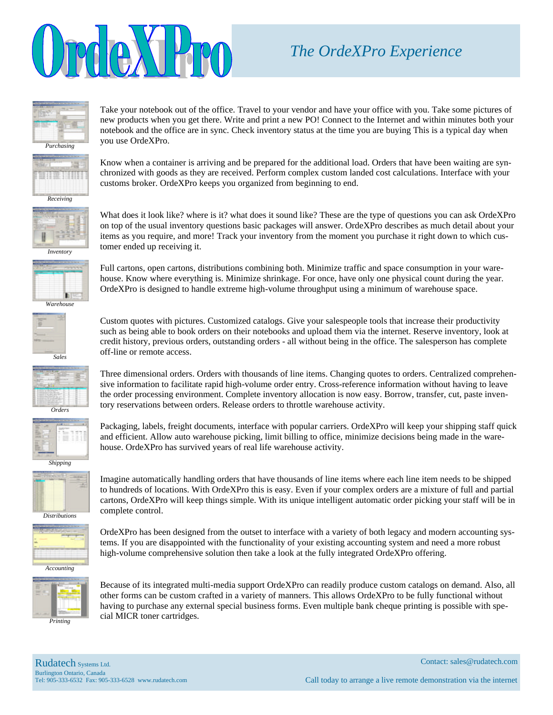

## *The OrdeXPro Experience*



Take your notebook out of the office. Travel to your vendor and have your office with you. Take some pictures of new products when you get there. Write and print a new PO! Connect to the Internet and within minutes both your notebook and the office are in sync. Check inventory status at the time you are buying This is a typical day when you use OrdeXPro.



Know when a container is arriving and be prepared for the additional load. Orders that have been waiting are synchronized with goods as they are received. Perform complex custom landed cost calculations. Interface with your customs broker. OrdeXPro keeps you organized from beginning to end.



What does it look like? where is it? what does it sound like? These are the type of questions you can ask OrdeXPro on top of the usual inventory questions basic packages will answer. OrdeXPro describes as much detail about your items as you require, and more! Track your inventory from the moment you purchase it right down to which customer ended up receiving it.



Full cartons, open cartons, distributions combining both. Minimize traffic and space consumption in your warehouse. Know where everything is. Minimize shrinkage. For once, have only one physical count during the year. OrdeXPro is designed to handle extreme high-volume throughput using a minimum of warehouse space.



Custom quotes with pictures. Customized catalogs. Give your salespeople tools that increase their productivity such as being able to book orders on their notebooks and upload them via the internet. Reserve inventory, look at credit history, previous orders, outstanding orders - all without being in the office. The salesperson has complete off-line or remote access.

Three dimensional orders. Orders with thousands of line items. Changing quotes to orders. Centralized comprehensive information to facilitate rapid high-volume order entry. Cross-reference information without having to leave the order processing environment. Complete inventory allocation is now easy. Borrow, transfer, cut, paste inventory reservations between orders. Release orders to throttle warehouse activity. *Orders*



Packaging, labels, freight documents, interface with popular carriers. OrdeXPro will keep your shipping staff quick and efficient. Allow auto warehouse picking, limit billing to office, minimize decisions being made in the warehouse. OrdeXPro has survived years of real life warehouse activity.

*Shipping*



*Distributions*



cartons, OrdeXPro will keep things simple. With its unique intelligent automatic order picking your staff will be in complete control. OrdeXPro has been designed from the outset to interface with a variety of both legacy and modern accounting sys-

Imagine automatically handling orders that have thousands of line items where each line item needs to be shipped to hundreds of locations. With OrdeXPro this is easy. Even if your complex orders are a mixture of full and partial

tems. If you are disappointed with the functionality of your existing accounting system and need a more robust high-volume comprehensive solution then take a look at the fully integrated OrdeXPro offering.



Because of its integrated multi-media support OrdeXPro can readily produce custom catalogs on demand. Also, all other forms can be custom crafted in a variety of manners. This allows OrdeXPro to be fully functional without having to purchase any external special business forms. Even multiple bank cheque printing is possible with special MICR toner cartridges.

*Printing*

Rudatech Systems Ltd. Burlington Ontario, Canada Tel: 905-333-6532 Fax: 905-333-6528 www.rudatech.com Contact: sales@rudatech.com